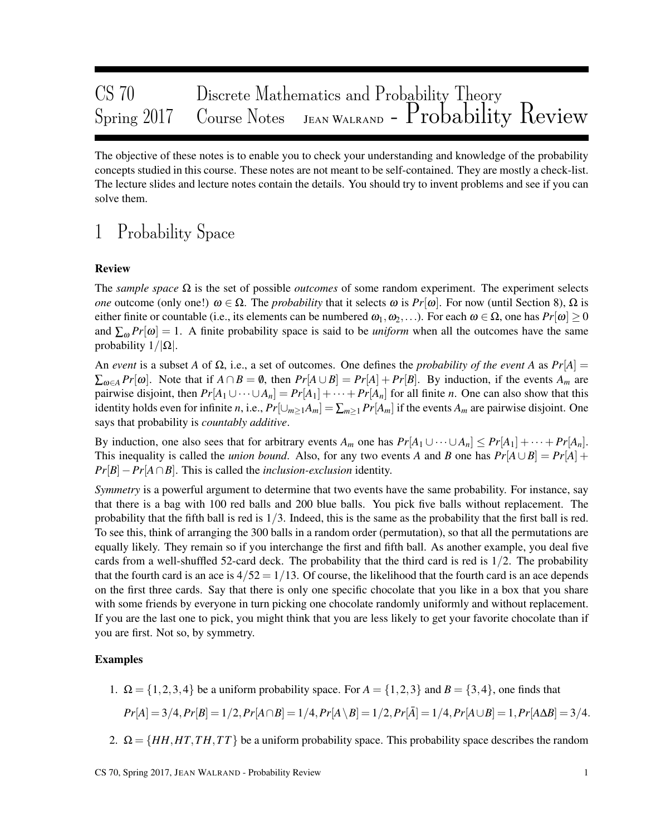| CS70 |                                                                                                                 |  |
|------|-----------------------------------------------------------------------------------------------------------------|--|
|      | CS 70 Discrete Mathematics and Probability Theory<br>Spring 2017 Course Notes JEAN WALRAND - Probability Review |  |

The objective of these notes is to enable you to check your understanding and knowledge of the probability concepts studied in this course. These notes are not meant to be self-contained. They are mostly a check-list. The lecture slides and lecture notes contain the details. You should try to invent problems and see if you can solve them.

# 1 Probability Space

### Review

The *sample space* Ω is the set of possible *outcomes* of some random experiment. The experiment selects *one* outcome (only one!)  $\omega \in \Omega$ . The *probability* that it selects  $\omega$  is  $Pr[\omega]$ . For now (until Section 8),  $\Omega$  is either finite or countable (i.e., its elements can be numbered  $\omega_1, \omega_2, \ldots$ ). For each  $\omega \in \Omega$ , one has  $Pr[\omega] \ge 0$ and  $\sum_{\omega} Pr[\omega] = 1$ . A finite probability space is said to be *uniform* when all the outcomes have the same probability  $1/|\Omega|$ .

An *event* is a subset *A* of  $\Omega$ , i.e., a set of outcomes. One defines the *probability of the event A* as  $Pr[A] =$  $\sum_{\omega \in A} Pr[\omega]$ . Note that if  $A \cap B = \emptyset$ , then  $Pr[A \cup B] = Pr[A] + Pr[B]$ . By induction, if the events  $A_m$  are pairwise disjoint, then  $Pr[A_1 \cup \cdots \cup A_n] = Pr[A_1] + \cdots + Pr[A_n]$  for all finite *n*. One can also show that this identity holds even for infinite *n*, i.e.,  $Pr[\cup_{m\geq 1}A_m]=\sum_{m>1}Pr[A_m]$  if the events  $A_m$  are pairwise disjoint. One says that probability is *countably additive*.

By induction, one also sees that for arbitrary events  $A_m$  one has  $Pr[A_1 \cup \cdots \cup A_n] \leq Pr[A_1] + \cdots + Pr[A_n]$ . This inequality is called the *union bound*. Also, for any two events *A* and *B* one has  $Pr[A \cup B] = Pr[A] +$ *Pr*[*B*]−*Pr*[*A*∩*B*]. This is called the *inclusion-exclusion* identity.

*Symmetry* is a powerful argument to determine that two events have the same probability. For instance, say that there is a bag with 100 red balls and 200 blue balls. You pick five balls without replacement. The probability that the fifth ball is red is  $1/3$ . Indeed, this is the same as the probability that the first ball is red. To see this, think of arranging the 300 balls in a random order (permutation), so that all the permutations are equally likely. They remain so if you interchange the first and fifth ball. As another example, you deal five cards from a well-shuffled 52-card deck. The probability that the third card is red is  $1/2$ . The probability that the fourth card is an ace is  $4/52 = 1/13$ . Of course, the likelihood that the fourth card is an ace depends on the first three cards. Say that there is only one specific chocolate that you like in a box that you share with some friends by everyone in turn picking one chocolate randomly uniformly and without replacement. If you are the last one to pick, you might think that you are less likely to get your favorite chocolate than if you are first. Not so, by symmetry.

### Examples

1.  $\Omega = \{1,2,3,4\}$  be a uniform probability space. For  $A = \{1,2,3\}$  and  $B = \{3,4\}$ , one finds that

$$
Pr[A] = 3/4, Pr[B] = 1/2, Pr[A \cap B] = 1/4, Pr[A \setminus B] = 1/2, Pr[\overline{A}] = 1/4, Pr[A \cup B] = 1, Pr[A \Delta B] = 3/4.
$$

2.  $\Omega = \{HH, HT, TH, TT\}$  be a uniform probability space. This probability space describes the random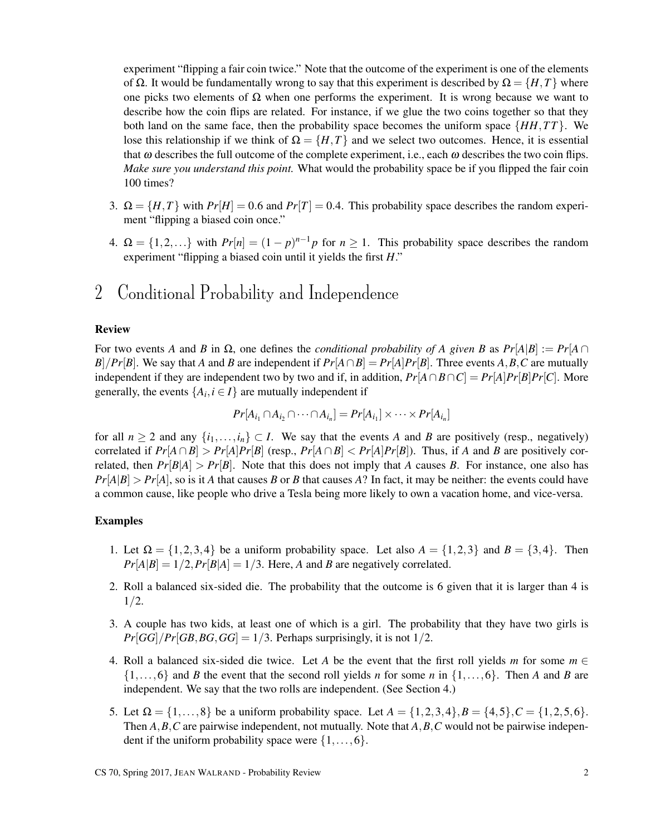experiment "flipping a fair coin twice." Note that the outcome of the experiment is one of the elements of Ω. It would be fundamentally wrong to say that this experiment is described by  $\Omega = \{H, T\}$  where one picks two elements of  $\Omega$  when one performs the experiment. It is wrong because we want to describe how the coin flips are related. For instance, if we glue the two coins together so that they both land on the same face, then the probability space becomes the uniform space  $\{HH,TT\}$ . We lose this relationship if we think of  $\Omega = \{H, T\}$  and we select two outcomes. Hence, it is essential that  $\omega$  describes the full outcome of the complete experiment, i.e., each  $\omega$  describes the two coin flips. *Make sure you understand this point.* What would the probability space be if you flipped the fair coin 100 times?

- 3.  $\Omega = \{H, T\}$  with  $Pr[H] = 0.6$  and  $Pr[T] = 0.4$ . This probability space describes the random experiment "flipping a biased coin once."
- 4.  $\Omega = \{1, 2, ...\}$  with  $Pr[n] = (1 p)^{n-1}p$  for  $n \ge 1$ . This probability space describes the random experiment "flipping a biased coin until it yields the first *H*."

# 2 Conditional Probability and Independence

### Review

For two events *A* and *B* in  $\Omega$ , one defines the *conditional probability of A given B* as  $Pr[A|B] := Pr[A \cap B]$ *B*]/*Pr*[*B*]. We say that *A* and *B* are independent if  $Pr[A \cap B] = Pr[A]Pr[B]$ . Three events *A*, *B*, *C* are mutually independent if they are independent two by two and if, in addition,  $Pr[A \cap B \cap C] = Pr[A]Pr[B]Pr[C]$ . More generally, the events  $\{A_i, i \in I\}$  are mutually independent if

$$
Pr[A_{i_1} \cap A_{i_2} \cap \cdots \cap A_{i_n}] = Pr[A_{i_1}] \times \cdots \times Pr[A_{i_n}]
$$

for all  $n \ge 2$  and any  $\{i_1, \ldots, i_n\} \subset I$ . We say that the events *A* and *B* are positively (resp., negatively) correlated if  $Pr[A \cap B] > Pr[A]Pr[B]$  (resp.,  $Pr[A \cap B] < Pr[A]Pr[B]$ ). Thus, if *A* and *B* are positively correlated, then  $Pr[B|A] > Pr[B]$ . Note that this does not imply that *A* causes *B*. For instance, one also has  $Pr[A|B] > Pr[A]$ , so is it *A* that causes *B* or *B* that causes *A*? In fact, it may be neither: the events could have a common cause, like people who drive a Tesla being more likely to own a vacation home, and vice-versa.

- 1. Let  $\Omega = \{1,2,3,4\}$  be a uniform probability space. Let also  $A = \{1,2,3\}$  and  $B = \{3,4\}$ . Then  $Pr[A|B] = 1/2, Pr[B|A] = 1/3$ . Here, *A* and *B* are negatively correlated.
- 2. Roll a balanced six-sided die. The probability that the outcome is 6 given that it is larger than 4 is  $1/2.$
- 3. A couple has two kids, at least one of which is a girl. The probability that they have two girls is  $Pr[GG]/Pr[GB, BG, GG] = 1/3$ . Perhaps surprisingly, it is not  $1/2$ .
- 4. Roll a balanced six-sided die twice. Let *A* be the event that the first roll yields *m* for some  $m \in$  $\{1,\ldots,6\}$  and *B* the event that the second roll yields *n* for some *n* in  $\{1,\ldots,6\}$ . Then *A* and *B* are independent. We say that the two rolls are independent. (See Section 4.)
- 5. Let  $\Omega = \{1, \ldots, 8\}$  be a uniform probability space. Let  $A = \{1, 2, 3, 4\}, B = \{4, 5\}, C = \{1, 2, 5, 6\}.$ Then *A*,*B*,*C* are pairwise independent, not mutually. Note that *A*,*B*,*C* would not be pairwise independent if the uniform probability space were  $\{1,\ldots,6\}$ .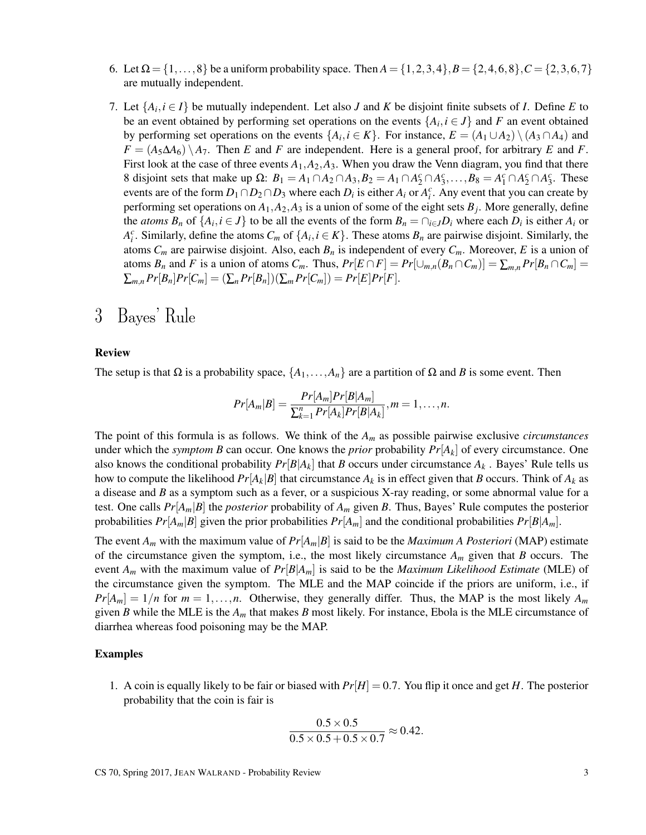- 6. Let  $\Omega = \{1, \ldots, 8\}$  be a uniform probability space. Then  $A = \{1, 2, 3, 4\}, B = \{2, 4, 6, 8\}, C = \{2, 3, 6, 7\}$ are mutually independent.
- 7. Let  $\{A_i, i \in I\}$  be mutually independent. Let also *J* and *K* be disjoint finite subsets of *I*. Define *E* to be an event obtained by performing set operations on the events  $\{A_i, i \in J\}$  and F an event obtained by performing set operations on the events  $\{A_i, i \in K\}$ . For instance,  $E = (A_1 \cup A_2) \setminus (A_3 \cap A_4)$  and  $F = (A_5 \Delta A_6) \setminus A_7$ . Then *E* and *F* are independent. Here is a general proof, for arbitrary *E* and *F*. First look at the case of three events  $A_1, A_2, A_3$ . When you draw the Venn diagram, you find that there 8 disjoint sets that make up  $\Omega$ :  $B_1 = A_1 \cap A_2 \cap A_3$ ,  $B_2 = A_1 \cap A_2^c \cap A_3^c$ , ...,  $B_8 = A_1^c \cap A_2^c \cap A_3^c$ . These events are of the form  $D_1 \cap D_2 \cap D_3$  where each  $D_i$  is either  $A_i$  or  $A_i^c$ . Any event that you can create by performing set operations on  $A_1$ ,  $A_2$ ,  $A_3$  is a union of some of the eight sets  $B_j$ . More generally, define the *atoms*  $B_n$  of  $\{A_i, i \in J\}$  to be all the events of the form  $B_n = \bigcap_{i \in J} D_i$  where each  $D_i$  is either  $A_i$  or *A*<sup>*c*</sup>. Similarly, define the atoms  $C_m$  of  $\{A_i, i \in K\}$ . These atoms  $B_n$  are pairwise disjoint. Similarly, the atoms  $C_m$  are pairwise disjoint. Also, each  $B_n$  is independent of every  $C_m$ . Moreover, E is a union of atoms  $B_n$  and F is a union of atoms  $C_m$ . Thus,  $Pr[E \cap F] = Pr[\cup_{m,n}(B_n \cap C_m)] = \sum_{m,n} Pr[B_n \cap C_m] =$  $\sum_{m,n} Pr[B_n]Pr[C_m] = (\sum_n Pr[B_n])(\sum_m Pr[C_m]) = Pr[E]Pr[F].$

## 3 Bayes' Rule

### Review

The setup is that  $\Omega$  is a probability space,  $\{A_1, \ldots, A_n\}$  are a partition of  $\Omega$  and *B* is some event. Then

$$
Pr[A_m|B] = \frac{Pr[A_m]Pr[B|A_m]}{\sum_{k=1}^n Pr[A_k]Pr[B|A_k]}, m = 1, \ldots, n.
$$

The point of this formula is as follows. We think of the *A<sup>m</sup>* as possible pairwise exclusive *circumstances* under which the *symptom B* can occur. One knows the *prior* probability  $Pr[A_k]$  of every circumstance. One also knows the conditional probability  $Pr[B|A_k]$  that *B* occurs under circumstance  $A_k$ . Bayes' Rule tells us how to compute the likelihood  $Pr[A_k|B]$  that circumstance  $A_k$  is in effect given that *B* occurs. Think of  $A_k$  as a disease and *B* as a symptom such as a fever, or a suspicious X-ray reading, or some abnormal value for a test. One calls  $Pr[A_m|B]$  the *posterior* probability of  $A_m$  given *B*. Thus, Bayes' Rule computes the posterior probabilities  $Pr[A_m|B]$  given the prior probabilities  $Pr[A_m]$  and the conditional probabilities  $Pr[B|A_m]$ .

The event  $A_m$  with the maximum value of  $Pr[A_m|B]$  is said to be the *Maximum A Posteriori* (MAP) estimate of the circumstance given the symptom, i.e., the most likely circumstance *A<sup>m</sup>* given that *B* occurs. The event  $A_m$  with the maximum value of  $Pr[B|A_m]$  is said to be the *Maximum Likelihood Estimate* (MLE) of the circumstance given the symptom. The MLE and the MAP coincide if the priors are uniform, i.e., if  $Pr[A_m] = 1/n$  for  $m = 1, \ldots, n$ . Otherwise, they generally differ. Thus, the MAP is the most likely  $A_m$ given *B* while the MLE is the *A<sup>m</sup>* that makes *B* most likely. For instance, Ebola is the MLE circumstance of diarrhea whereas food poisoning may be the MAP.

#### Examples

1. A coin is equally likely to be fair or biased with  $Pr[H] = 0.7$ . You flip it once and get *H*. The posterior probability that the coin is fair is

$$
\frac{0.5 \times 0.5}{0.5 \times 0.5 + 0.5 \times 0.7} \approx 0.42.
$$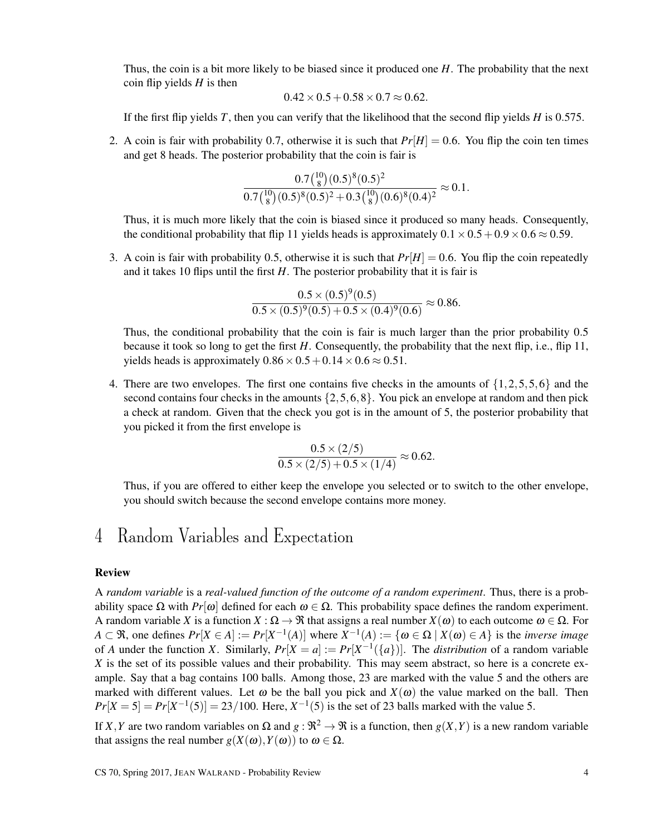Thus, the coin is a bit more likely to be biased since it produced one *H*. The probability that the next coin flip yields *H* is then

$$
0.42 \times 0.5 + 0.58 \times 0.7 \approx 0.62.
$$

If the first flip yields *T*, then you can verify that the likelihood that the second flip yields *H* is 0.575.

2. A coin is fair with probability 0.7, otherwise it is such that  $Pr[H] = 0.6$ . You flip the coin ten times and get 8 heads. The posterior probability that the coin is fair is

 $\overline{10}$ 

$$
\frac{0.7\binom{10}{8}(0.5)^8(0.5)^2}{0.7\binom{10}{8}(0.5)^8(0.5)^2+0.3\binom{10}{8}(0.6)^8(0.4)^2} \approx 0.1.
$$

Thus, it is much more likely that the coin is biased since it produced so many heads. Consequently, the conditional probability that flip 11 yields heads is approximately  $0.1 \times 0.5 + 0.9 \times 0.6 \approx 0.59$ .

3. A coin is fair with probability 0.5, otherwise it is such that  $Pr[H] = 0.6$ . You flip the coin repeatedly and it takes 10 flips until the first  $H$ . The posterior probability that it is fair is

$$
\frac{0.5 \times (0.5)^9 (0.5)}{0.5 \times (0.5)^9 (0.5) + 0.5 \times (0.4)^9 (0.6)} \approx 0.86.
$$

Thus, the conditional probability that the coin is fair is much larger than the prior probability 0.5 because it took so long to get the first *H*. Consequently, the probability that the next flip, i.e., flip 11, yields heads is approximately  $0.86 \times 0.5 + 0.14 \times 0.6 \approx 0.51$ .

4. There are two envelopes. The first one contains five checks in the amounts of  $\{1,2,5,5,6\}$  and the second contains four checks in the amounts  $\{2, 5, 6, 8\}$ . You pick an envelope at random and then pick a check at random. Given that the check you got is in the amount of 5, the posterior probability that you picked it from the first envelope is

$$
\frac{0.5 \times (2/5)}{0.5 \times (2/5) + 0.5 \times (1/4)} \approx 0.62.
$$

Thus, if you are offered to either keep the envelope you selected or to switch to the other envelope, you should switch because the second envelope contains more money.

### 4 Random Variables and Expectation

### Review

A *random variable* is a *real-valued function of the outcome of a random experiment*. Thus, there is a probability space  $\Omega$  with *Pr*[ω] defined for each  $\omega \in \Omega$ . This probability space defines the random experiment. A random variable *X* is a function  $X : \Omega \to \mathfrak{R}$  that assigns a real number  $X(\omega)$  to each outcome  $\omega \in \Omega$ . For *A* ⊂ **R**, one defines  $Pr[X ∈ A] := Pr[X^{-1}(A)]$  where  $X^{-1}(A) := \{ω ∈ Ω \mid X(ω) ∈ A\}$  is the *inverse image* of *A* under the function *X*. Similarly,  $Pr[X = a] := Pr[X^{-1}(\{a\})]$ . The *distribution* of a random variable *X* is the set of its possible values and their probability. This may seem abstract, so here is a concrete example. Say that a bag contains 100 balls. Among those, 23 are marked with the value 5 and the others are marked with different values. Let  $\omega$  be the ball you pick and  $X(\omega)$  the value marked on the ball. Then  $Pr[X = 5] = Pr[X^{-1}(5)] = 23/100$ . Here,  $X^{-1}(5)$  is the set of 23 balls marked with the value 5.

If *X*, *Y* are two random variables on  $\Omega$  and  $g : \mathbb{R}^2 \to \mathbb{R}$  is a function, then  $g(X, Y)$  is a new random variable that assigns the real number  $g(X(\omega), Y(\omega))$  to  $\omega \in \Omega$ .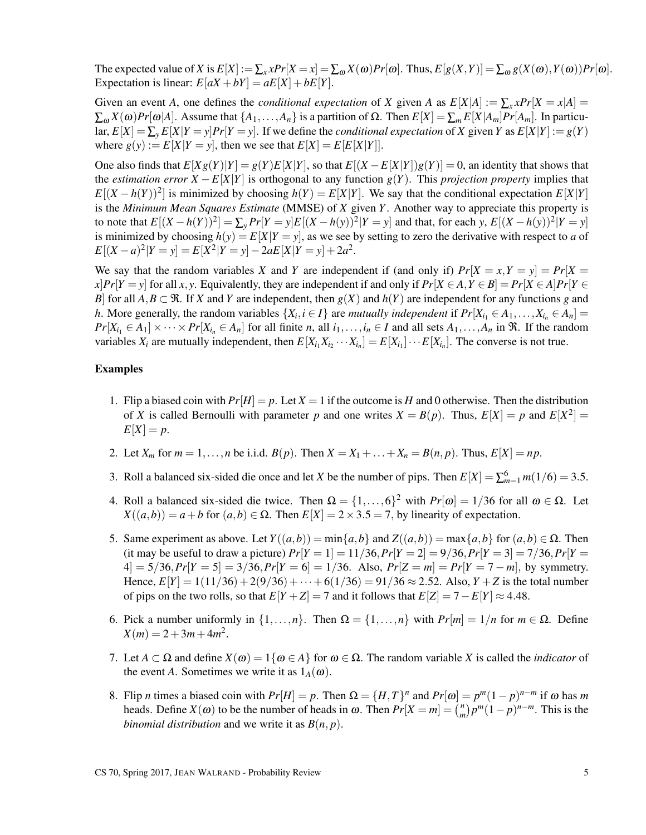The expected value of *X* is  $E[X] := \sum_{x} x Pr[X = x] = \sum_{\omega} X(\omega) Pr[\omega]$ . Thus,  $E[g(X, Y)] = \sum_{\omega} g(X(\omega), Y(\omega)) Pr[\omega]$ . Expectation is linear:  $E[aX + bY] = aE[X] + bE[Y]$ .

Given an event *A*, one defines the *conditional expectation* of *X* given *A* as  $E[X|A] := \sum_{x} x Pr[X = x|A]$  $\sum_{\omega} X(\omega) Pr[\omega|A]$ . Assume that  $\{A_1, \ldots, A_n\}$  is a partition of  $\Omega$ . Then  $E[X] = \sum_m E[X|A_m] Pr[A_m]$ . In particular,  $E[X] = \sum_{y} E[X|Y = y] Pr[Y = y]$ . If we define the *conditional expectation* of X given Y as  $E[X|Y] := g(Y)$ where  $g(y) := E[X|Y = y]$ , then we see that  $E[X] = E[E[X|Y]]$ .

One also finds that  $E[Xg(Y)|Y] = g(Y)E[X|Y]$ , so that  $E[(X - E[X|Y])g(Y)] = 0$ , an identity that shows that the *estimation error*  $X - E[X|Y]$  is orthogonal to any function  $g(Y)$ . This *projection property* implies that  $E[(X - h(Y))^2]$  is minimized by choosing  $h(Y) = E[X|Y]$ . We say that the conditional expectation  $E[X|Y]$ is the *Minimum Mean Squares Estimate* (MMSE) of *X* given *Y*. Another way to appreciate this property is to note that  $E[(X - h(Y))^2] = \sum_{y} Pr[Y = y]E[(X - h(y))^2|Y = y]$  and that, for each y,  $E[(X - h(y))^2|Y = y]$ is minimized by choosing  $h(y) = E[X|Y = y]$ , as we see by setting to zero the derivative with respect to *a* of  $E[(X-a)^2|Y=y] = E[X^2|Y=y] - 2aE[X|Y=y] + 2a^2$ .

We say that the random variables *X* and *Y* are independent if (and only if)  $Pr[X = x, Y = y] = Pr[X = y]$  $x$ ]*Pr*[*Y* = *y*] for all *x*, *y*. Equivalently, they are independent if and only if  $Pr[X \in A, Y \in B] = Pr[X \in A]Pr[Y \in B]$ *B*] for all  $A, B \subset \mathcal{R}$ . If *X* and *Y* are independent, then  $g(X)$  and  $h(Y)$  are independent for any functions *g* and *h*. More generally, the random variables  $\{X_i, i \in I\}$  are *mutually independent* if  $Pr[X_{i_1} \in A_1, \ldots, X_{i_n} \in A_n] =$  $Pr[X_{i_1} \in A_1] \times \cdots \times Pr[X_{i_n} \in A_n]$  for all finite *n*, all  $i_1, \ldots, i_n \in I$  and all sets  $A_1, \ldots, A_n$  in  $\Re$ . If the random variables  $X_i$  are mutually independent, then  $E[X_{i_1}X_{i_2}\cdots X_{i_n}]=E[X_{i_1}]\cdots E[X_{i_n}]$ . The converse is not true.

- 1. Flip a biased coin with  $Pr[H] = p$ . Let  $X = 1$  if the outcome is *H* and 0 otherwise. Then the distribution of *X* is called Bernoulli with parameter *p* and one writes  $X = B(p)$ . Thus,  $E[X] = p$  and  $E[X^2] =$  $E[X] = p$ .
- 2. Let  $X_m$  for  $m = 1, ..., n$  be i.i.d.  $B(p)$ . Then  $X = X_1 + ... + X_n = B(n, p)$ . Thus,  $E[X] = np$ .
- 3. Roll a balanced six-sided die once and let *X* be the number of pips. Then  $E[X] = \sum_{m=1}^{6} m(1/6) = 3.5$ .
- 4. Roll a balanced six-sided die twice. Then  $\Omega = \{1, ..., 6\}^2$  with  $Pr[\omega] = 1/36$  for all  $\omega \in \Omega$ . Let  $X((a,b)) = a + b$  for  $(a,b) \in \Omega$ . Then  $E[X] = 2 \times 3.5 = 7$ , by linearity of expectation.
- 5. Same experiment as above. Let  $Y((a, b)) = \min\{a, b\}$  and  $Z((a, b)) = \max\{a, b\}$  for  $(a, b) \in \Omega$ . Then (it may be useful to draw a picture)  $Pr[Y = 1] = 11/36$ ,  $Pr[Y = 2] = 9/36$ ,  $Pr[Y = 3] = 7/36$ ,  $Pr[Y = 1] = 11/36$ ,  $Pr[Y = 2] = 9/36$ ,  $Pr[Y = 3] = 7/36$ ,  $Pr[Y = 2] = 9/36$  $4$ ] = 5/36, $Pr[Y = 5]$  = 3/36, $Pr[Y = 6]$  = 1/36. Also,  $Pr[Z = m] = Pr[Y = 7 - m]$ , by symmetry. Hence,  $E[Y] = 1(11/36) + 2(9/36) + \cdots + 6(1/36) = 91/36 \approx 2.52$ . Also,  $Y + Z$  is the total number of pips on the two rolls, so that  $E[Y+Z] = 7$  and it follows that  $E[Z] = 7 - E[Y] \approx 4.48$ .
- 6. Pick a number uniformly in  $\{1,\ldots,n\}$ . Then  $\Omega = \{1,\ldots,n\}$  with  $Pr[m] = 1/n$  for  $m \in \Omega$ . Define  $X(m) = 2 + 3m + 4m^2$ .
- 7. Let  $A \subset \Omega$  and define  $X(\omega) = 1\{\omega \in A\}$  for  $\omega \in \Omega$ . The random variable X is called the *indicator* of the event *A*. Sometimes we write it as  $1_A(\omega)$ .
- 8. Flip *n* times a biased coin with  $Pr[H] = p$ . Then  $\Omega = \{H, T\}^n$  and  $Pr[\omega] = p^m(1-p)^{n-m}$  if  $\omega$  has *m* heads. Define  $X(\omega)$  to be the number of heads in  $\omega$ . Then  $Pr[X = m] = \binom{n}{m}$  $\binom{n}{m} p^m (1-p)^{n-m}$ . This is the *binomial distribution* and we write it as  $B(n, p)$ .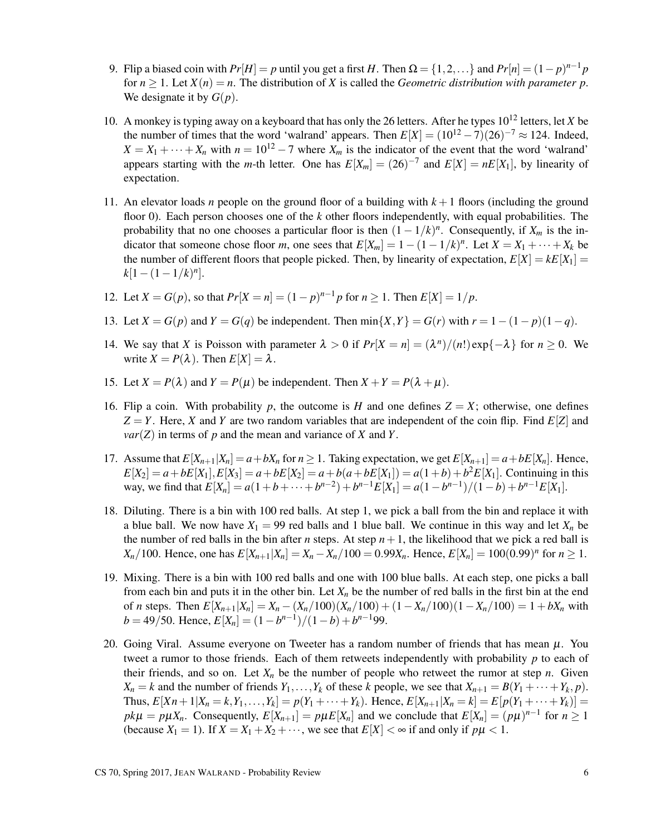- 9. Flip a biased coin with  $Pr[H] = p$  until you get a first *H*. Then  $\Omega = \{1, 2, \ldots\}$  and  $Pr[n] = (1 p)^{n-1}p$ for  $n \geq 1$ . Let  $X(n) = n$ . The distribution of X is called the *Geometric distribution with parameter p*. We designate it by  $G(p)$ .
- 10. A monkey is typing away on a keyboard that has only the 26 letters. After he types 10<sup>12</sup> letters, let *X* be the number of times that the word 'walrand' appears. Then  $E[X] = (10^{12} - 7)(26)^{-7} \approx 124$ . Indeed,  $X = X_1 + \cdots + X_n$  with  $n = 10^{12} - 7$  where  $X_m$  is the indicator of the event that the word 'walrand' appears starting with the *m*-th letter. One has  $E[X_m] = (26)^{-7}$  and  $E[X] = nE[X_1]$ , by linearity of expectation.
- 11. An elevator loads *n* people on the ground floor of a building with *k* +1 floors (including the ground floor 0). Each person chooses one of the *k* other floors independently, with equal probabilities. The probability that no one chooses a particular floor is then  $(1 - 1/k)^n$ . Consequently, if  $X_m$  is the indicator that someone chose floor *m*, one sees that  $E[X_m] = 1 - (1 - 1/k)^n$ . Let  $X = X_1 + \cdots + X_k$  be the number of different floors that people picked. Then, by linearity of expectation,  $E[X] = kE[X_1] =$  $k[1-(1-1/k)^n]$ .
- 12. Let  $X = G(p)$ , so that  $Pr[X = n] = (1 p)^{n-1}p$  for  $n \ge 1$ . Then  $E[X] = 1/p$ .
- 13. Let  $X = G(p)$  and  $Y = G(q)$  be independent. Then  $\min\{X, Y\} = G(r)$  with  $r = 1 (1 p)(1 q)$ .
- 14. We say that *X* is Poisson with parameter  $\lambda > 0$  if  $Pr[X = n] = (\lambda^n)/(n!) \exp\{-\lambda\}$  for  $n \ge 0$ . We write  $X = P(\lambda)$ . Then  $E[X] = \lambda$ .
- 15. Let  $X = P(\lambda)$  and  $Y = P(\mu)$  be independent. Then  $X + Y = P(\lambda + \mu)$ .
- 16. Flip a coin. With probability p, the outcome is H and one defines  $Z = X$ ; otherwise, one defines  $Z = Y$ . Here, *X* and *Y* are two random variables that are independent of the coin flip. Find  $E[Z]$  and  $var(Z)$  in terms of *p* and the mean and variance of *X* and *Y*.
- 17. Assume that  $E[X_{n+1}|X_n] = a + bX_n$  for  $n \ge 1$ . Taking expectation, we get  $E[X_{n+1}] = a + bE[X_n]$ . Hence,  $E[X_2] = a + bE[X_1], E[X_3] = a + bE[X_2] = a + b(a + bE[X_1]) = a(1+b) + b^2E[X_1].$  Continuing in this way, we find that  $E[X_n] = a(1 + b + \cdots + b^{n-2}) + b^{n-1}E[X_1] = a(1 - b^{n-1})/(1 - b) + b^{n-1}E[X_1]$ .
- 18. Diluting. There is a bin with 100 red balls. At step 1, we pick a ball from the bin and replace it with a blue ball. We now have  $X_1 = 99$  red balls and 1 blue ball. We continue in this way and let  $X_n$  be the number of red balls in the bin after *n* steps. At step  $n + 1$ , the likelihood that we pick a red ball is *X<sub>n</sub>*/100. Hence, one has  $E[X_{n+1}|X_n] = X_n - X_n/100 = 0.99X_n$ . Hence,  $E[X_n] = 100(0.99)^n$  for  $n \ge 1$ .
- 19. Mixing. There is a bin with 100 red balls and one with 100 blue balls. At each step, one picks a ball from each bin and puts it in the other bin. Let  $X_n$  be the number of red balls in the first bin at the end of *n* steps. Then  $E[X_{n+1}|X_n] = X_n - (X_n/100)(X_n/100) + (1 - X_n/100)(1 - X_n/100) = 1 + bX_n$  with  $b = 49/50$ . Hence,  $E[X_n] = (1 - b^{n-1})/(1 - b) + b^{n-1}99$ .
- 20. Going Viral. Assume everyone on Tweeter has a random number of friends that has mean  $\mu$ . You tweet a rumor to those friends. Each of them retweets independently with probability *p* to each of their friends, and so on. Let  $X_n$  be the number of people who retweet the rumor at step *n*. Given  $X_n = k$  and the number of friends  $Y_1, \ldots, Y_k$  of these *k* people, we see that  $X_{n+1} = B(Y_1 + \cdots + Y_k, p)$ . Thus,  $E[Xn+1|X_n = k, Y_1, ..., Y_k] = p(Y_1 + ... + Y_k)$ . Hence,  $E[X_{n+1}|X_n = k] = E[p(Y_1 + ... + Y_k)] =$  $pk\mu = p\mu X_n$ . Consequently,  $E[X_{n+1}] = p\mu E[X_n]$  and we conclude that  $E[X_n] = (p\mu)^{n-1}$  for  $n \ge 1$ (because  $X_1 = 1$ ). If  $X = X_1 + X_2 + \cdots$ , we see that  $E[X] < \infty$  if and only if  $p\mu < 1$ .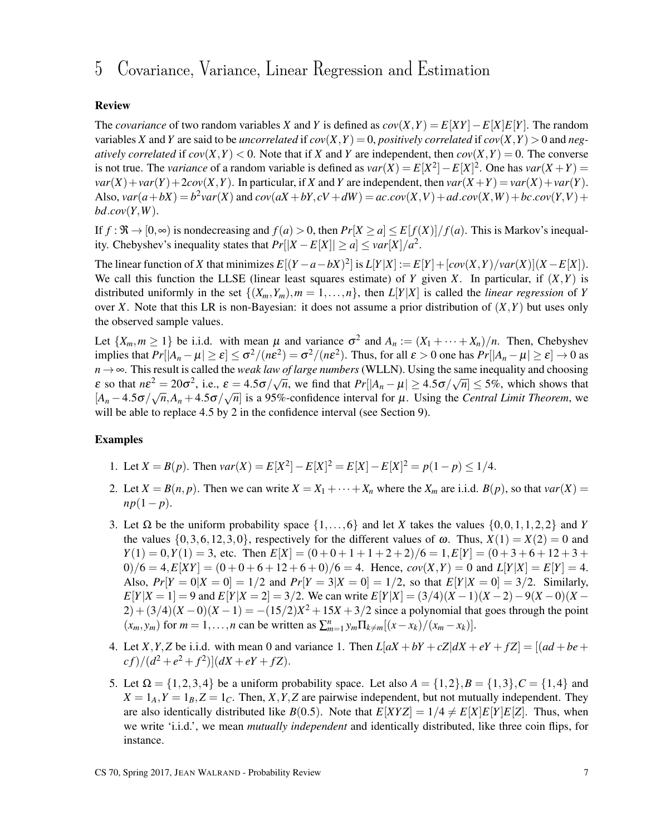### 5 Covariance, Variance, Linear Regression and Estimation

### Review

The *covariance* of two random variables *X* and *Y* is defined as  $cov(X, Y) = E[XY] - E[X]E[Y]$ . The random variables *X* and *Y* are said to be *uncorrelated* if  $cov(X, Y) = 0$ , *positively correlated* if  $cov(X, Y) > 0$  and *negatively correlated* if  $cov(X, Y) < 0$ . Note that if *X* and *Y* are independent, then  $cov(X, Y) = 0$ . The converse is not true. The *variance* of a random variable is defined as  $var(X) = E[X^2] - E[X]^2$ . One has  $var(X + Y) =$  $var(X) + var(Y) + 2cov(X, Y)$ . In particular, if *X* and *Y* are independent, then  $var(X + Y) = var(X) + var(Y)$ . Also,  $var(a+bX) = b^2var(X)$  and  $cov(aX+bY, cV+dW) = accov(X, V) + adcov(X, W) + bccov(Y, V) +$ *bd*.*cov*(*Y*,*W*).

If  $f: \mathfrak{R} \to [0,\infty)$  is nondecreasing and  $f(a) > 0$ , then  $Pr[X \ge a] \le E[f(X)]/f(a)$ . This is Markov's inequality. Chebyshev's inequality states that  $Pr[|X - E[X]| \ge a] \le \nu ar[X]/a^2$ .

The linear function of X that minimizes  $E[(Y-a-bX)^2]$  is  $L[Y|X] := E[Y] + [cov(X,Y)/var(X)](X - E[X])$ . We call this function the LLSE (linear least squares estimate) of *Y* given *X*. In particular, if  $(X, Y)$  is distributed uniformly in the set  $\{(X_m, Y_m), m = 1, \ldots, n\}$ , then  $L[Y|X]$  is called the *linear regression* of *Y* over *X*. Note that this LR is non-Bayesian: it does not assume a prior distribution of  $(X, Y)$  but uses only the observed sample values.

Let  $\{X_m, m \geq 1\}$  be i.i.d. with mean  $\mu$  and variance  $\sigma^2$  and  $A_n := (X_1 + \cdots + X_n)/n$ . Then, Chebyshev implies that  $Pr[|A_n - \mu| \ge \varepsilon] \le \sigma^2/(n\varepsilon^2) = \sigma^2/(n\varepsilon^2)$ . Thus, for all  $\varepsilon > 0$  one has  $Pr[|A_n - \mu| \ge \varepsilon] \to 0$  as  $n \rightarrow \infty$ . This result is called the *weak law of large numbers* (WLLN). Using the same inequality and choosing  $\epsilon$  so that  $n\epsilon^2 = 20\sigma^2$ , i.e.,  $\epsilon = 4.5\sigma/\sqrt{n}$ , we find that  $Pr[|A_n - \mu| \ge 4.5\sigma/\sqrt{n}] \le 5\%$ , which shows that  $[A_n - 4.5\sigma/\sqrt{n}, A_n + 4.5\sigma/\sqrt{n}]$  is a 95%-confidence interval for  $\mu$ . Using the *Central Limit Theorem*, we will be able to replace 4.5 by 2 in the confidence interval (see Section 9).

- 1. Let  $X = B(p)$ . Then  $var(X) = E[X^2] E[X]^2 = E[X] E[X]^2 = p(1-p) \le 1/4$ .
- 2. Let  $X = B(n, p)$ . Then we can write  $X = X_1 + \cdots + X_n$  where the  $X_m$  are i.i.d.  $B(p)$ , so that  $var(X) =$  $np(1-p)$ .
- 3. Let  $\Omega$  be the uniform probability space  $\{1,\ldots,6\}$  and let *X* takes the values  $\{0,0,1,1,2,2\}$  and *Y* the values  $\{0,3,6,12,3,0\}$ , respectively for the different values of  $\omega$ . Thus,  $X(1) = X(2) = 0$  and  $Y(1) = 0, Y(1) = 3$ , etc. Then  $E[X] = (0 + 0 + 1 + 1 + 2 + 2)/6 = 1, E[Y] = (0 + 3 + 6 + 12 + 3 + 12)$  $0/6 = 4$ ,  $E[XY] = (0 + 0 + 6 + 12 + 6 + 0)/6 = 4$ . Hence,  $cov(X, Y) = 0$  and  $L[Y|X] = E[Y] = 4$ . Also,  $Pr[Y = 0|X = 0] = 1/2$  and  $Pr[Y = 3|X = 0] = 1/2$ , so that  $E[Y|X = 0] = 3/2$ . Similarly,  $E[Y|X=1] = 9$  and  $E[Y|X=2] = 3/2$ . We can write  $E[Y|X] = (3/4)(X-1)(X-2) - 9(X-0)(X-1)$  $2) + (3/4)(X-0)(X-1) = -(15/2)X^2 + 15X + 3/2$  since a polynomial that goes through the point  $(x_m, y_m)$  for  $m = 1, \ldots, n$  can be written as  $\sum_{m=1}^n y_m \prod_{k \neq m} [(x - x_k)/(x_m - x_k)].$
- 4. Let *X*, *Y*, *Z* be i.i.d. with mean 0 and variance 1. Then  $L[aX + bY + cZ]dX + eY + fZ] = [(ad + be + bZ] + (ad + bZ) + (ad + bZ)]$  $cf)/(d^2 + e^2 + f^2)[dX + eY + fZ].$
- 5. Let  $\Omega = \{1, 2, 3, 4\}$  be a uniform probability space. Let also  $A = \{1, 2\}, B = \{1, 3\}, C = \{1, 4\}$  and  $X = 1_A, Y = 1_B, Z = 1_C$ . Then, *X*, *Y*, *Z* are pairwise independent, but not mutually independent. They are also identically distributed like *B*(0.5). Note that  $E[XYZ] = 1/4 \neq E[X]E[Y]E[Z]$ . Thus, when we write 'i.i.d.', we mean *mutually independent* and identically distributed, like three coin flips, for instance.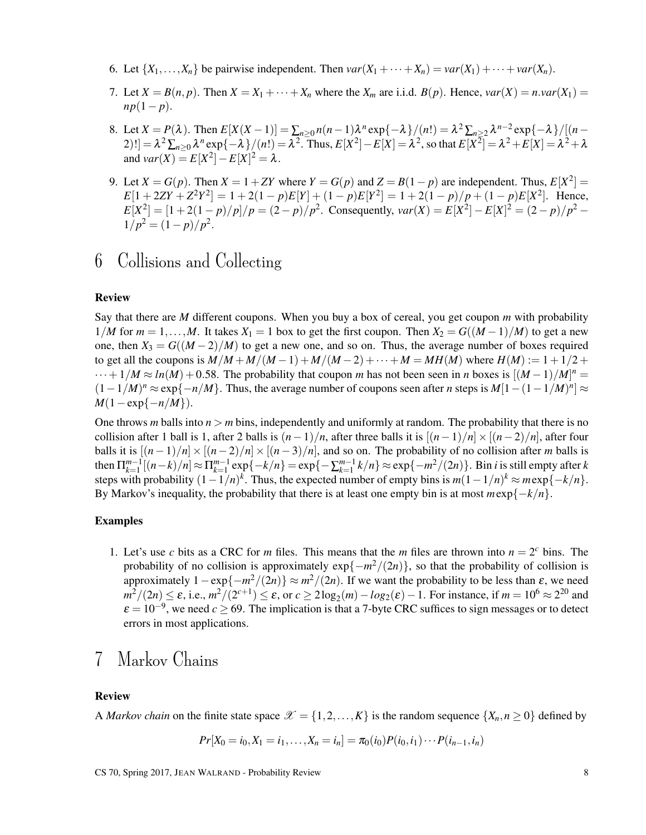- 6. Let  $\{X_1, \ldots, X_n\}$  be pairwise independent. Then  $var(X_1 + \cdots + X_n) = var(X_1) + \cdots + var(X_n)$ .
- 7. Let  $X = B(n, p)$ . Then  $X = X_1 + \cdots + X_n$  where the  $X_m$  are i.i.d.  $B(p)$ . Hence,  $var(X) = n \cdot var(X_1)$  $np(1-p)$ .
- 8. Let  $X = P(\lambda)$ . Then  $E[X(X-1)] = \sum_{n \ge 0} n(n-1)\lambda^n \exp\{-\lambda\}/(n!) = \lambda^2 \sum_{n \ge 2} \lambda^{n-2} \exp\{-\lambda\}/[(n-1)\lambda^n]$ 2)! $]-\lambda^2 \sum_{n\geq 0} \lambda^n \exp\{-\lambda\} / (n!) = \lambda^2$ . Thus,  $E[X^2] - E[X] = \lambda^2$ , so that  $E[X^2] = \lambda^2 + E[X] = \lambda^2 + \lambda^2$ and  $var(X) = E[X^2] - E[X]^2 = \lambda$ .
- 9. Let  $X = G(p)$ . Then  $X = 1 + ZY$  where  $Y = G(p)$  and  $Z = B(1 p)$  are independent. Thus,  $E[X^2] =$  $E[1 + 2ZY + Z^2Y^2] = 1 + 2(1 - p)E[Y] + (1 - p)E[Y^2] = 1 + 2(1 - p)/p + (1 - p)E[X^2]$ . Hence,  $E[X^2] = [1 + 2(1-p)/p]/p = (2-p)/p^2$ . Consequently,  $var(X) = E[X^2] - E[X]^2 = (2-p)/p^2$  $1/p^2 = (1-p)/p^2$ .

## 6 Collisions and Collecting

#### Review

Say that there are *M* different coupons. When you buy a box of cereal, you get coupon *m* with probability  $1/M$  for  $m = 1,...,M$ . It takes  $X_1 = 1$  box to get the first coupon. Then  $X_2 = G((M-1)/M)$  to get a new one, then  $X_3 = G((M-2)/M)$  to get a new one, and so on. Thus, the average number of boxes required to get all the coupons is  $M/M + M/(M-1) + M/(M-2) + \cdots + M = MH(M)$  where  $H(M) := 1 + 1/2 +$  $\cdots + 1/M \approx ln(M) + 0.58$ . The probability that coupon *m* has not been seen in *n* boxes is  $[(M-1)/M]^n =$  $(1-1/M)^n \approx \exp\{-n/M\}$ . Thus, the average number of coupons seen after *n* steps is  $M[1-(1-1/M)^n] \approx$  $M(1 - \exp\{-n/M\}).$ 

One throws *m* balls into  $n > m$  bins, independently and uniformly at random. The probability that there is no collision after 1 ball is 1, after 2 balls is  $(n-1)/n$ , after three balls it is  $[(n-1)/n] \times [(n-2)/n]$ , after four balls it is  $[(n-1)/n] \times [(n-2)/n] \times [(n-3)/n]$ , and so on. The probability of no collision after *m* balls is then  $\prod_{k=1}^{m-1}[(n-k)/n] \approx \prod_{k=1}^{m-1} \exp\{-k/n\} = \exp\{-\sum_{k=1}^{m-1} k/n\} \approx \exp\{-m^2/(2n)\}\.$  Bin *i* is still empty after k steps with probability  $(1 - 1/n)^k$ . Thus, the expected number of empty bins is  $m(1 - 1/n)^k \approx m \exp\{-k/n\}$ . By Markov's inequality, the probability that there is at least one empty bin is at most  $m \exp\{-k/n\}$ .

### Examples

1. Let's use *c* bits as a CRC for *m* files. This means that the *m* files are thrown into  $n = 2<sup>c</sup>$  bins. The probability of no collision is approximately  $exp{-m^2/(2n)}$ , so that the probability of collision is approximately  $1 - \exp\{-m^2/(2n)\} \approx m^2/(2n)$ . If we want the probability to be less than  $\varepsilon$ , we need  $m^2/(2n) \leq \varepsilon$ , i.e.,  $m^2/(2^{c+1}) \leq \varepsilon$ , or  $c \geq 2\log_2(m) - \log_2(\varepsilon) - 1$ . For instance, if  $m = 10^6 \approx 2^{20}$  and  $\varepsilon = 10^{-9}$ , we need  $c \ge 69$ . The implication is that a 7-byte CRC suffices to sign messages or to detect errors in most applications.

### 7 Markov Chains

### Review

A *Markov chain* on the finite state space  $\mathcal{X} = \{1, 2, ..., K\}$  is the random sequence  $\{X_n, n \geq 0\}$  defined by

$$
Pr[X_0 = i_0, X_1 = i_1, \ldots, X_n = i_n] = \pi_0(i_0)P(i_0, i_1)\cdots P(i_{n-1}, i_n)
$$

CS 70, Spring 2017, JEAN WALRAND - Probability Review 8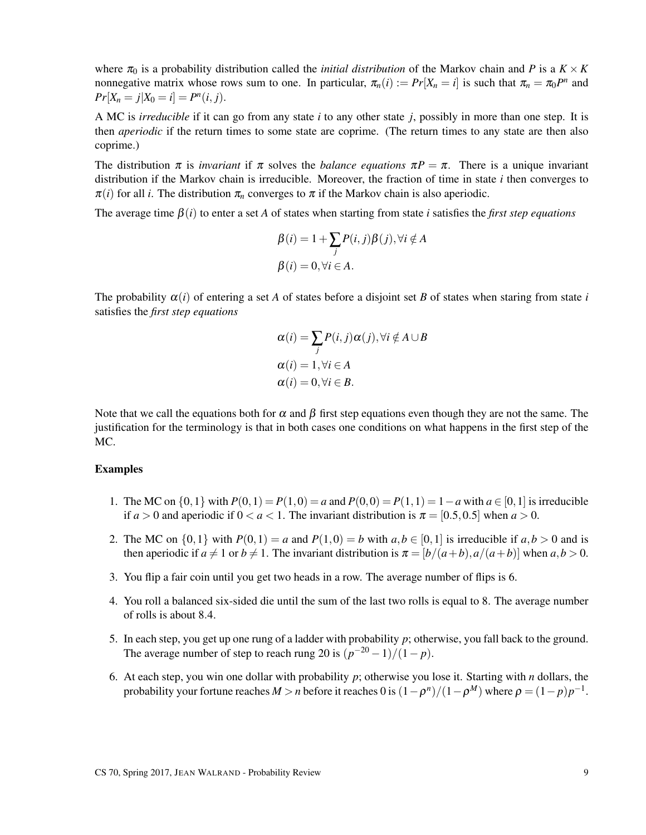where  $\pi_0$  is a probability distribution called the *initial distribution* of the Markov chain and *P* is a  $K \times K$ nonnegative matrix whose rows sum to one. In particular,  $\pi_n(i) := Pr[X_n = i]$  is such that  $\pi_n = \pi_0 P^n$  and  $Pr[X_n = j | X_0 = i] = P^n(i, j).$ 

A MC is *irreducible* if it can go from any state *i* to any other state *j*, possibly in more than one step. It is then *aperiodic* if the return times to some state are coprime. (The return times to any state are then also coprime.)

The distribution  $\pi$  is *invariant* if  $\pi$  solves the *balance equations*  $\pi P = \pi$ . There is a unique invariant distribution if the Markov chain is irreducible. Moreover, the fraction of time in state *i* then converges to  $\pi(i)$  for all *i*. The distribution  $\pi_n$  converges to  $\pi$  if the Markov chain is also aperiodic.

The average time  $\beta(i)$  to enter a set A of states when starting from state *i* satisfies the *first step equations* 

$$
\beta(i) = 1 + \sum_{j} P(i, j)\beta(j), \forall i \notin A
$$

$$
\beta(i) = 0, \forall i \in A.
$$

The probability  $\alpha(i)$  of entering a set A of states before a disjoint set B of states when staring from state *i* satisfies the *first step equations*

$$
\alpha(i) = \sum_{j} P(i, j) \alpha(j), \forall i \notin A \cup B
$$
  
\n
$$
\alpha(i) = 1, \forall i \in A
$$
  
\n
$$
\alpha(i) = 0, \forall i \in B.
$$

Note that we call the equations both for  $\alpha$  and  $\beta$  first step equations even though they are not the same. The justification for the terminology is that in both cases one conditions on what happens in the first step of the MC.

- 1. The MC on  $\{0,1\}$  with  $P(0,1) = P(1,0) = a$  and  $P(0,0) = P(1,1) = 1-a$  with  $a \in [0,1]$  is irreducible if  $a > 0$  and aperiodic if  $0 < a < 1$ . The invariant distribution is  $\pi = [0.5, 0.5]$  when  $a > 0$ .
- 2. The MC on  $\{0,1\}$  with  $P(0,1) = a$  and  $P(1,0) = b$  with  $a,b \in [0,1]$  is irreducible if  $a,b > 0$  and is then aperiodic if  $a \neq 1$  or  $b \neq 1$ . The invariant distribution is  $\pi = [b/(a+b), a/(a+b)]$  when  $a, b > 0$ .
- 3. You flip a fair coin until you get two heads in a row. The average number of flips is 6.
- 4. You roll a balanced six-sided die until the sum of the last two rolls is equal to 8. The average number of rolls is about 8.4.
- 5. In each step, you get up one rung of a ladder with probability *p*; otherwise, you fall back to the ground. The average number of step to reach rung 20 is  $(p^{-20} - 1)/(1 - p)$ .
- 6. At each step, you win one dollar with probability *p*; otherwise you lose it. Starting with *n* dollars, the probability your fortune reaches  $M > n$  before it reaches  $0$  is  $(1 - \rho^n)/(1 - \rho^M)$  where  $\rho = (1 - p)p^{-1}$ .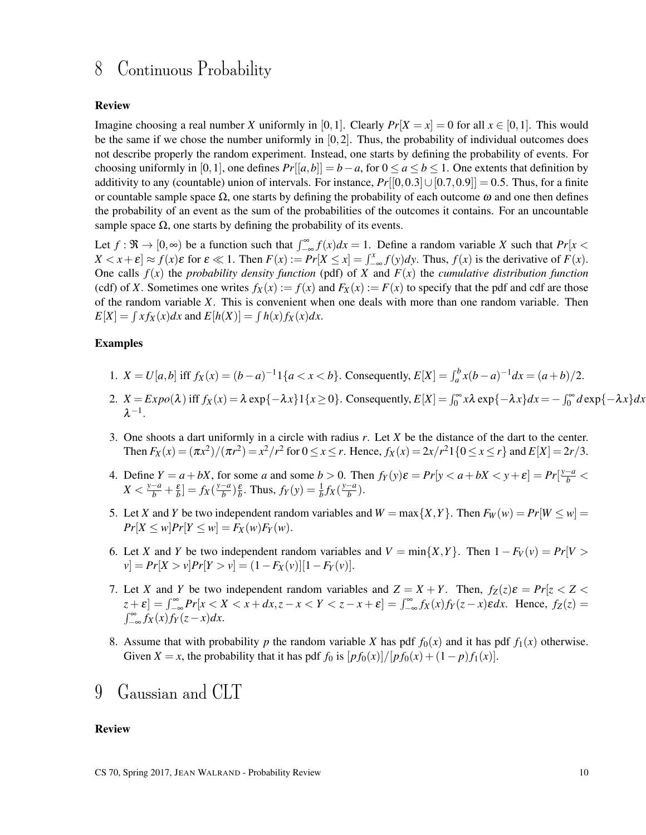### 8 Continuous Probability

### Review

Imagine choosing a real number *X* uniformly in [0,1]. Clearly  $Pr[X = x] = 0$  for all  $x \in [0,1]$ . This would be the same if we chose the number uniformly in  $[0,2]$ . Thus, the probability of individual outcomes does not describe properly the random experiment. Instead, one starts by defining the probability of events. For choosing uniformly in [0,1], one defines  $Pr[[a,b]] = b - a$ , for  $0 \le a \le b \le 1$ . One extents that definition by additivity to any (countable) union of intervals. For instance,  $Pr[[0,0.3] \cup [0.7,0.9]] = 0.5$ . Thus, for a finite or countable sample space  $\Omega$ , one starts by defining the probability of each outcome  $\omega$  and one then defines the probability of an event as the sum of the probabilities of the outcomes it contains. For an uncountable sample space  $\Omega$ , one starts by defining the probability of its events.

Let  $f: \mathfrak{R} \to [0, \infty)$  be a function such that  $\int_{-\infty}^{\infty} f(x) dx = 1$ . Define a random variable *X* such that  $Pr[x <$  $X < x + \varepsilon$   $\approx f(x)\varepsilon$  for  $\varepsilon \ll 1$ . Then  $F(x) := Pr[X \le x] = \int_{-\infty}^{x} f(y) dy$ . Thus,  $f(x)$  is the derivative of  $F(x)$ . One calls  $f(x)$  the *probability density function* (pdf) of *X* and  $F(x)$  the *cumulative distribution function* (cdf) of *X*. Sometimes one writes  $f_X(x) := f(x)$  and  $F_X(x) := F(x)$  to specify that the pdf and cdf are those of the random variable *X*. This is convenient when one deals with more than one random variable. Then  $E[X] = \int x f_X(x) dx$  and  $E[h(X)] = \int h(x) f_X(x) dx$ .

### Examples

- 1.  $X = U[a, b]$  iff  $f_X(x) = (b a)^{-1} \{a < x < b\}$ . Consequently,  $E[X] = \int_a^b x(b a)^{-1} dx = (a + b)/2$ .
- 2.  $X = Expo(\lambda)$  iff  $f_X(x) = \lambda \exp\{-\lambda x\}1\{x \ge 0\}$ . Consequently,  $E[X] = \int_0^\infty x\lambda \exp\{-\lambda x\}dx = -\int_0^\infty d\exp\{-\lambda x\}dx$  $\lambda^{-1}$ .
- 3. One shoots a dart uniformly in a circle with radius *r*. Let *X* be the distance of the dart to the center. Then  $F_X(x) = (\pi x^2)/(\pi r^2) = x^2/r^2$  for  $0 \le x \le r$ . Hence,  $f_X(x) = 2x/r^2 1\{0 \le x \le r\}$  and  $E[X] = 2r/3$ .
- 4. Define  $Y = a + bX$ , for some *a* and some  $b > 0$ . Then  $f_Y(y)\varepsilon = Pr[y < a + bX < y + \varepsilon] = Pr[\frac{y-a}{b} < a + bX]$  $X < \frac{y-a}{b} + \frac{\varepsilon}{b}$ ] =  $f_X(\frac{y-a}{b})$  $\left(\frac{-a}{b}\right)\frac{\varepsilon}{b}$ . Thus,  $f_Y(y) = \frac{1}{b}f_X(\frac{y-a}{b})$  $\frac{-a}{b}$ ).
- 5. Let *X* and *Y* be two independent random variables and  $W = \max\{X, Y\}$ . Then  $F_W(w) = Pr[W \leq w]$  $Pr[X \le w]$ *Pr*[*Y*  $\le w$ ] = *F<sub>X</sub>*(*w*)*F<sub>Y</sub>*(*w*).
- 6. Let *X* and *Y* be two independent random variables and  $V = min\{X, Y\}$ . Then  $1 F_V(v) = Pr[V >$  $v = Pr[X > v]Pr[Y > v] = (1 - F_X(v)][1 - F_Y(v)].$
- 7. Let *X* and *Y* be two independent random variables and  $Z = X + Y$ . Then,  $f_Z(z)\varepsilon = Pr[z < Z <$  $|z+\varepsilon| = \int_{-\infty}^{\infty} Pr[x < X < x + dx, z - x < Y < z - x + \varepsilon] = \int_{-\infty}^{\infty} f_X(x) f_Y(z-x) \varepsilon dx$ . Hence,  $f_Z(z) =$  $\int_{-\infty}^{\infty} f_X(x) f_Y(z-x) dx$ .
- 8. Assume that with probability *p* the random variable *X* has pdf  $f_0(x)$  and it has pdf  $f_1(x)$  otherwise. Given *X* = *x*, the probability that it has pdf  $f_0$  is  $[p f_0(x)]/[p f_0(x) + (1-p) f_1(x)]$ .
- 9 Gaussian and CLT

### Review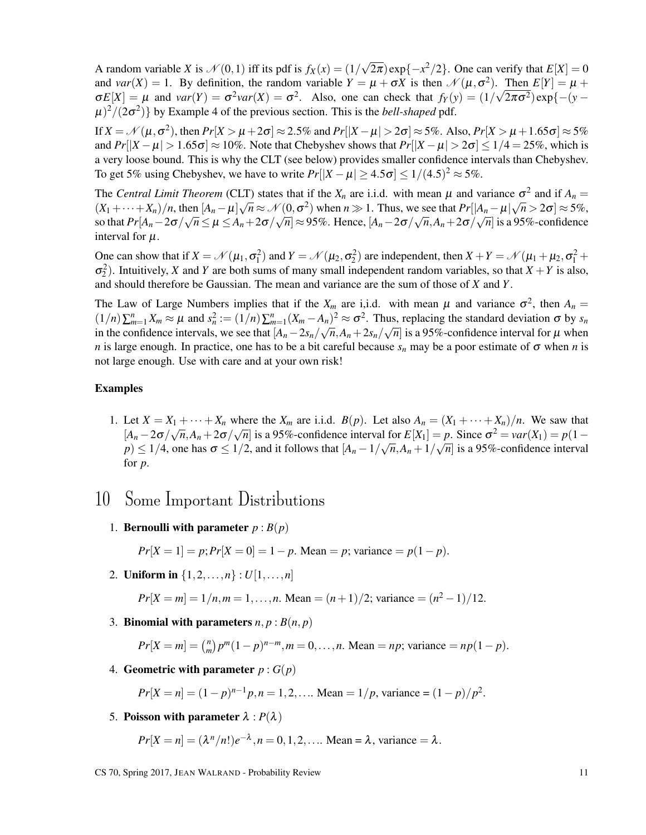A random variable *X* is  $\mathcal{N}(0,1)$  iff its pdf is  $f_X(x) = (1/$ √  $(2\pi)$  exp $\{-x^2/2\}$ . One can verify that  $E[X] = 0$ and *var*(*X*) = 1. By definition, the random variable  $Y = \mu + \sigma X$  is then  $\mathcal{N}(\mu, \sigma^2)$ . Then  $E[Y] = \mu + \sigma X$  $\sigma E[X] = \mu$  and  $var(Y) = \sigma^2 var(X) = \sigma^2$ . Also, one can check that  $f_Y(y) = (1/\sqrt{2\pi\sigma^2}) exp{- (y - \sigma^2)}$  $(\mu)^2/(2\sigma^2)$  by Example 4 of the previous section. This is the *bell-shaped* pdf.

If  $X = \mathcal{N}(\mu, \sigma^2)$ , then  $Pr[X > \mu + 2\sigma] \approx 2.5\%$  and  $Pr[|X - \mu| > 2\sigma] \approx 5\%$ . Also,  $Pr[X > \mu + 1.65\sigma] \approx 5\%$ and  $Pr[|X - \mu| > 1.65\sigma] \approx 10\%$ . Note that Chebyshev shows that  $Pr[|X - \mu| > 2\sigma] \le 1/4 = 25\%$ , which is a very loose bound. This is why the CLT (see below) provides smaller confidence intervals than Chebyshev. To get 5% using Chebyshev, we have to write  $Pr[|X - \mu| \ge 4.5\sigma] \le 1/(4.5)^2 \approx 5\%$ .

The *Central Limit Theorem* (CLT) states that if the  $X_n$  are i.i.d. with mean  $\mu$  and variance  $\sigma^2$  and if  $A_n = (X_n, Y_n)$  $(X_1+\cdots+X_n)/n$ , then  $[A_n-\mu]\sqrt{n} \approx \mathcal{N}(0,\sigma^2)$  when  $n \gg 1$ . Thus, we see that  $Pr[|A_n-\mu|\sqrt{n} > 2\sigma] \approx 5\%$ , so that  $Pr[A_n-2\sigma/\sqrt{n} \leq \mu \leq A_n+2\sigma/\sqrt{n}] \approx 95\%$ . Hence,  $[A_n-2\sigma/\sqrt{n}, A_n+2\sigma/\sqrt{n}]$  is a 95%-confidence interval for  $\mu$ .

One can show that if  $X = \mathcal{N}(\mu_1, \sigma_1^2)$  and  $Y = \mathcal{N}(\mu_2, \sigma_2^2)$  are independent, then  $X + Y = \mathcal{N}(\mu_1 + \mu_2, \sigma_1^2 + \sigma_2^2)$  $\sigma_2^2$ ). Intuitively, *X* and *Y* are both sums of many small independent random variables, so that *X* + *Y* is also, and should therefore be Gaussian. The mean and variance are the sum of those of *X* and *Y*.

The Law of Large Numbers implies that if the  $X_m$  are i,i.d. with mean  $\mu$  and variance  $\sigma^2$ , then  $A_n =$  $(1/n)\sum_{m=1}^{n} X_m \approx \mu$  and  $s_n^2 := (1/n)\sum_{m=1}^{n} (X_m - A_n)^2 \approx \sigma^2$ . Thus, replacing the standard deviation  $\sigma$  by  $s_n$ in the confidence intervals, we see that  $[A_n - 2s_n/\sqrt{n}, A_n + 2s_n/\sqrt{n}]$  is a 95%-confidence interval for  $\mu$  when *n* is large enough. In practice, one has to be a bit careful because  $s_n$  may be a poor estimate of  $\sigma$  when *n* is not large enough. Use with care and at your own risk!

#### Examples

1. Let  $X = X_1 + \cdots + X_n$  where the  $X_m$  are i.i.d.  $B(p)$ . Let also  $A_n = (X_1 + \cdots + X_n)/n$ . We saw that  $[A_n - 2\sigma/\sqrt{n}, A_n + 2\sigma/\sqrt{n}]$  is a 95%-confidence interval for  $E[X_1] = p$ . Since  $\sigma^2 = \text{var}(X_1) = p(1 - \sigma^2)/2$  $p$ )  $\leq 1/4$ , one has  $\sigma \leq 1/2$ , and it follows that  $[A_n - 1/\sqrt{n}, A_n + 1/\sqrt{n}]$  is a 95%-confidence interval for *p*.

### 10 Some Important Distributions

1. **Bernoulli with parameter**  $p : B(p)$ 

$$
Pr[X = 1] = p; Pr[X = 0] = 1 - p
$$
. Mean = p; variance =  $p(1 - p)$ .

2. **Uniform in**  $\{1, 2, ..., n\} : U[1, ..., n]$ 

$$
Pr[X = m] = 1/n, m = 1, ..., n.
$$
 Mean =  $(n+1)/2$ ; variance =  $(n^2 - 1)/12$ .

3. **Binomial with parameters**  $n, p : B(n, p)$ 

$$
Pr[X = m] = {n \choose m} p^m (1-p)^{n-m}, m = 0, ..., n.
$$
 Mean = np; variance =  $np(1-p)$ .

4. Geometric with parameter  $p: G(p)$ 

$$
Pr[X = n] = (1-p)^{n-1}p, n = 1, 2, \dots
$$
 Mean =  $1/p$ , variance =  $(1-p)/p^2$ .

5. Poisson with parameter  $\lambda$ :  $P(\lambda)$ 

$$
Pr[X = n] = (\lambda^n/n!)e^{-\lambda}, n = 0, 1, 2, \dots
$$
 Mean =  $\lambda$ , variance =  $\lambda$ .

CS 70, Spring 2017, JEAN WALRAND - Probability Review 11